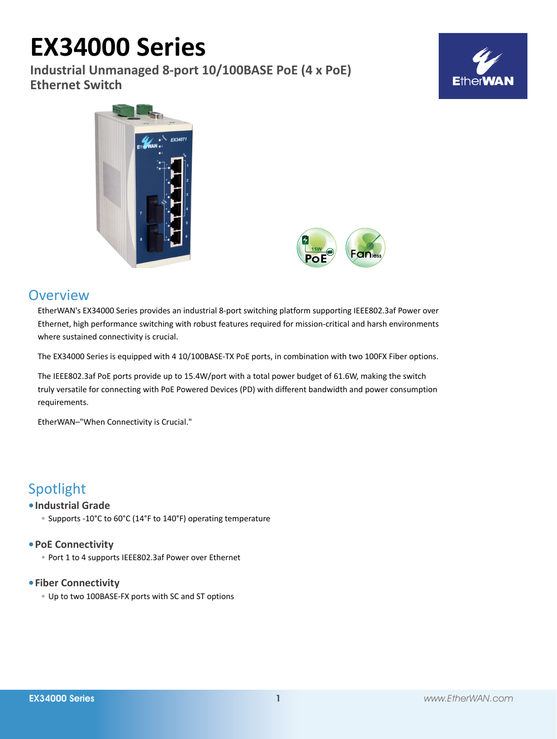# **EX34000 Series**

**Industrial Unmanaged 8-port 10/100BASE PoE (4 x PoE) Ethernet Switch**







### **Overview**

EtherWAN's EX34000 Series provides an industrial 8-port switching platform supporting IEEE802.3af Power over Ethernet, high performance switching with robust features required for mission-critical and harsh environments where sustained connectivity is crucial.

The EX34000 Series is equipped with 4 10/100BASE-TX PoE ports, in combination with two 100FX Fiber options.

The IEEE802.3af PoE ports provide up to 15.4W/port with a total power budget of 61.6W, making the switch truly versatile for connecting with PoE Powered Devices (PD) with different bandwidth and power consumption requirements.

EtherWAN–"When Connectivity is Crucial."

### Spotlight

#### **• Industrial Grade**

◦ Supports -10°C to 60°C (14°F to 140°F) operating temperature

#### **• PoE Connectivity**

◦ Port 1 to 4 supports IEEE802.3af Power over Ethernet

#### **• Fiber Connectivity**

◦ Up to two 100BASE-FX ports with SC and ST options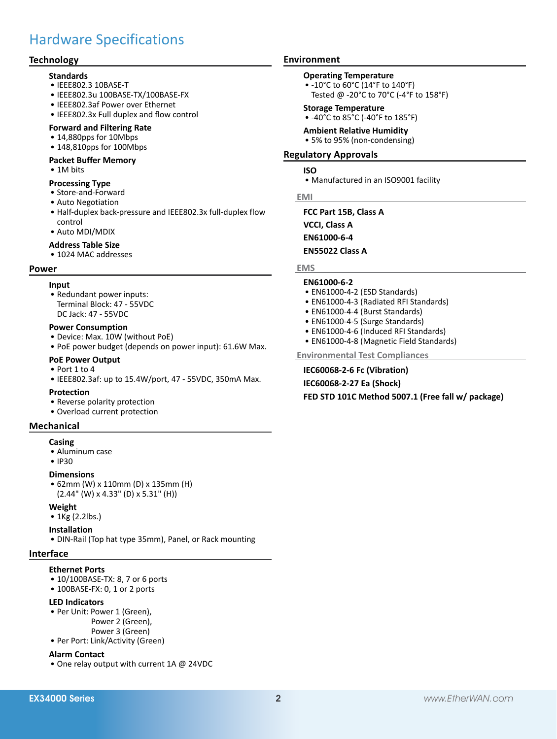### Hardware Specifications

#### **Technology**

#### **Standards**

- • IEEE802.3 10BASE-T
- • IEEE802.3u 100BASE-TX/100BASE-FX
- • IEEE802.3af Power over Ethernet
- • IEEE802.3x Full duplex and flow control

#### **Forward and Filtering Rate**

- • 14,880pps for 10Mbps
- 148,810pps for 100Mbps

#### **Packet Buffer Memory**

- 1M bits
- **Processing Type**
- Store-and-Forward
- • Auto Negotiation
- Half-duplex back-pressure and IEEE802.3x full-duplex flow control
- • Auto MDI/MDIX
- **Address Table Size**
- 1024 MAC addresses

#### **Power**

#### **Input**

• Redundant power inputs: Terminal Block: 47 - 55VDC DC Jack: 47 - 55VDC

#### **Power Consumption**

- • Device: Max. 10W (without PoE)
- PoE power budget (depends on power input): 61.6W Max.

#### **PoE Power Output**

- • Port 1 to 4
- $\bullet$  IEEE802.3af: up to 15.4W/port, 47 55VDC, 350mA Max.

#### **Protection**

- • Reverse polarity protection
- • Overload current protection

#### **Mechanical**

#### **Casing**

- • Aluminum case
- • IP30

#### **Dimensions**

• 62mm (W) x 110mm (D) x 135mm (H) (2.44" (W) x 4.33" (D) x 5.31" (H))

#### **Weight**

• 1Kg (2.2lbs.)

#### **Installation**

• DIN-Rail (Top hat type 35mm), Panel, or Rack mounting

#### **Interface**

#### **Ethernet Ports**

- 10/100BASE-TX: 8, 7 or 6 ports
- 100BASE-FX: 0, 1 or 2 ports

#### **LED Indicators**

- Per Unit: Power 1 (Green), Power 2 (Green),
	- Power 3 (Green)
- Per Port: Link/Activity (Green)

#### **Alarm Contact**

• One relay output with current 1A @ 24VDC

#### **Environment**

#### **Operating Temperature**

• -10°C to 60°C (14°F to 140°F) Tested @ -20°C to 70°C (-4°F to 158°F)

#### **Storage Temperature**

• -40°C to 85°C (-40°F to 185°F)

#### **Ambient Relative Humidity**

• 5% to 95% (non-condensing)

#### **Regulatory Approvals**

#### **ISO**

• Manufactured in an ISO9001 facility

#### **EMI**

**FCC Part 15B, Class A VCCI, Class A EN61000-6-4 EN55022 Class A**

#### **EMS**

#### **EN61000-6-2**

- • EN61000-4-2 (ESD Standards)
- EN61000-4-3 (Radiated RFI Standards)
- EN61000-4-4 (Burst Standards)
- EN61000-4-5 (Surge Standards)
- EN61000-4-6 (Induced RFI Standards)
- • EN61000-4-8 (Magnetic Field Standards)

**Environmental Test Compliances**

#### **IEC60068-2-6 Fc (Vibration)**

**IEC60068-2-27 Ea (Shock)**

#### **FED STD 101C Method 5007.1 (Free fall w/ package)**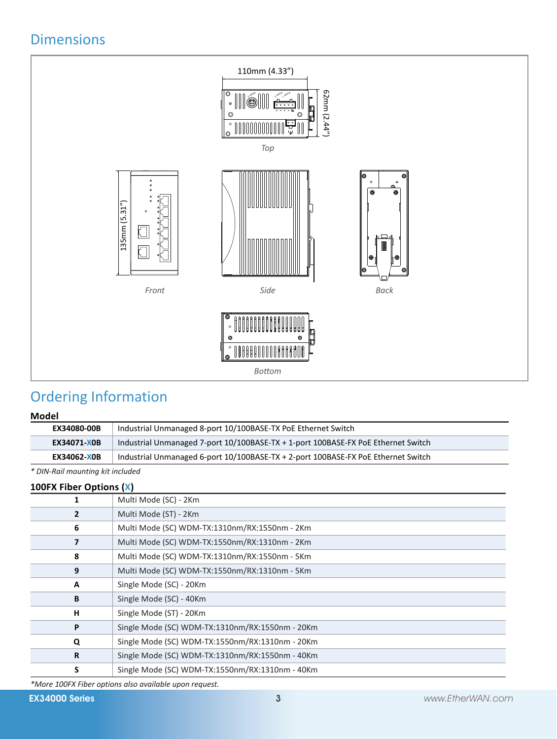### Dimensions



### Ordering Information

#### **Model**

| EX34080-00B | Industrial Unmanaged 8-port 10/100BASE-TX PoE Ethernet Switch                     |
|-------------|-----------------------------------------------------------------------------------|
| EX34071-X0B | Industrial Unmanaged 7-port 10/100BASE-TX + 1-port 100BASE-FX PoE Ethernet Switch |
| EX34062-X0B | Industrial Unmanaged 6-port 10/100BASE-TX + 2-port 100BASE-FX PoE Ethernet Switch |

*\* DIN-Rail mounting kit included* 

#### **100FX Fiber Options (X)**

|              | - 1-7                                           |
|--------------|-------------------------------------------------|
| 1            | Multi Mode (SC) - 2Km                           |
| $\mathbf{2}$ | Multi Mode (ST) - 2Km                           |
| 6            | Multi Mode (SC) WDM-TX:1310nm/RX:1550nm - 2Km   |
|              | Multi Mode (SC) WDM-TX:1550nm/RX:1310nm - 2Km   |
| 8            | Multi Mode (SC) WDM-TX:1310nm/RX:1550nm - 5Km   |
| 9            | Multi Mode (SC) WDM-TX:1550nm/RX:1310nm - 5Km   |
| A            | Single Mode (SC) - 20Km                         |
| B            | Single Mode (SC) - 40Km                         |
| н            | Single Mode (ST) - 20Km                         |
| P            | Single Mode (SC) WDM-TX:1310nm/RX:1550nm - 20Km |
| Q            | Single Mode (SC) WDM-TX:1550nm/RX:1310nm - 20Km |
| R            | Single Mode (SC) WDM-TX:1310nm/RX:1550nm - 40Km |
| S            | Single Mode (SC) WDM-TX:1550nm/RX:1310nm - 40Km |
|              |                                                 |

*\*More 100FX Fiber options also available upon request.*